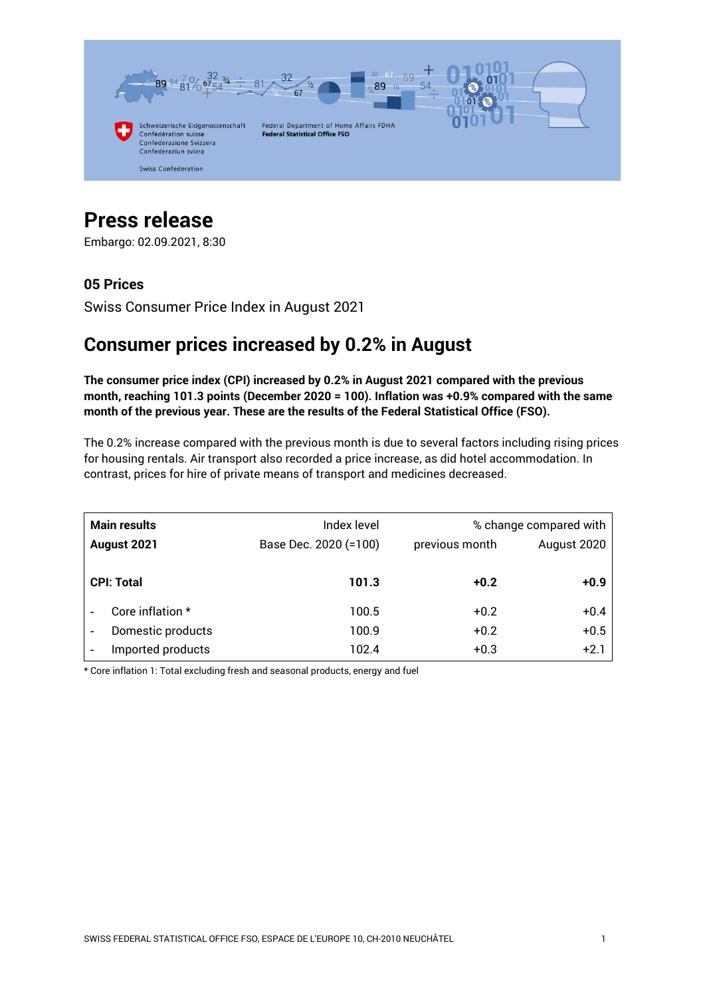

# **Press release**

Embargo: 02.09.2021, 8:30

### **05 Prices**

Swiss Consumer Price Index in August 2021

## **Consumer prices increased by 0.2% in August**

**The consumer price index (CPI) increased by 0.2% in August 2021 compared with the previous month, reaching 101.3 points (December 2020 = 100). Inflation was +0.9% compared with the same month of the previous year. These are the results of the Federal Statistical Office (FSO).**

The 0.2% increase compared with the previous month is due to several factors including rising prices for housing rentals. Air transport also recorded a price increase, as did hotel accommodation. In contrast, prices for hire of private means of transport and medicines decreased.

| <b>Main results</b><br>August 2021 |                   | Index level<br>Base Dec. 2020 (=100) | previous month | % change compared with<br>August 2020 |
|------------------------------------|-------------------|--------------------------------------|----------------|---------------------------------------|
|                                    | <b>CPI: Total</b> | 101.3                                | $+0.2$         | $+0.9$                                |
|                                    | Core inflation *  | 100.5                                | $+0.2$         | $+0.4$                                |
|                                    | Domestic products | 100.9                                | $+0.2$         | $+0.5$                                |
|                                    | Imported products | 102.4                                | $+0.3$         | $+2.1$                                |

\* Core inflation 1: Total excluding fresh and seasonal products, energy and fuel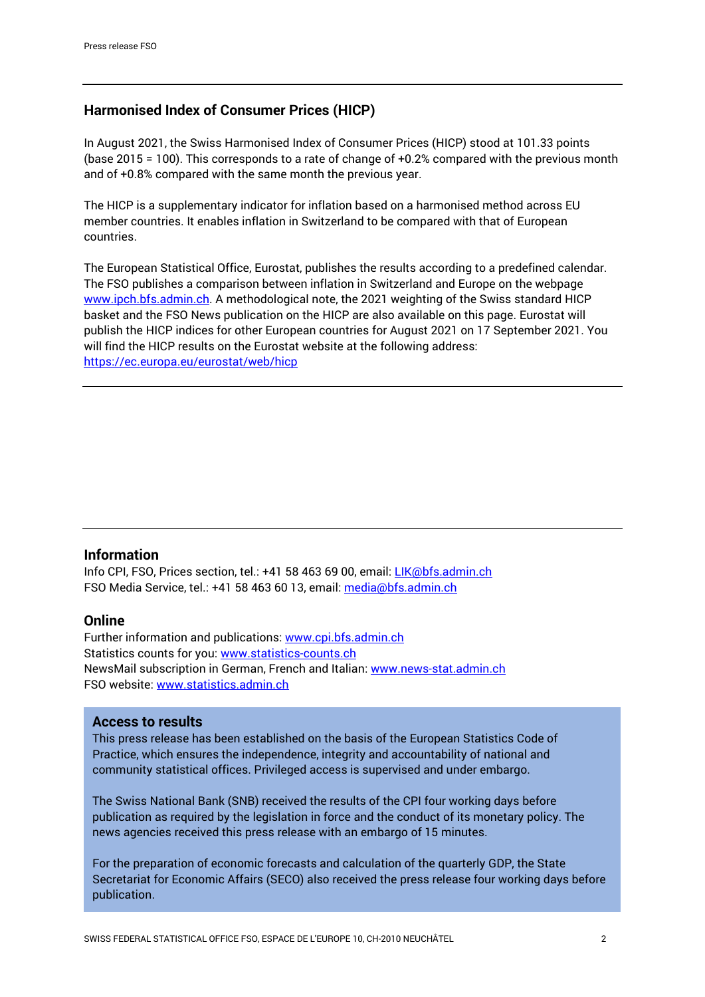#### **Harmonised Index of Consumer Prices (HICP)**

In August 2021, the Swiss Harmonised Index of Consumer Prices (HICP) stood at 101.33 points (base 2015 = 100). This corresponds to a rate of change of +0.2% compared with the previous month and of +0.8% compared with the same month the previous year.

The HICP is a supplementary indicator for inflation based on a harmonised method across EU member countries. It enables inflation in Switzerland to be compared with that of European countries.

The European Statistical Office, Eurostat, publishes the results according to a predefined calendar. The FSO publishes a comparison between inflation in Switzerland and Europe on the webpage www.ipch.bfs.admin.ch</u>. A methodological note, the 2021 weighting of the Swiss standard HICP basket and the FSO News publication on the HICP are also available on this page. Eurostat will publish the HICP indices for other European countries for August 2021 on 17 September 2021. You will find the HICP results on the Eurostat website at the following address: <https://ec.europa.eu/eurostat/web/hicp>

#### **Information**

Info CPI, FSO, Prices section, tel.: +41 58 463 69 00, email: [LIK@bfs.admin.ch](mailto:LIK@bfs.admin.ch) FSO Media Service, tel.: +41 58 463 60 13, email[: media@bfs.admin.ch](mailto:media@bfs.admin.ch)

#### **Online**

Further information and publications: [www.cpi.bfs.admin.ch](https://www.bfs.admin.ch/bfs/en/home/statistics/prices/consumer-price-index.html) Statistics counts for you: [www.statistics-counts.ch](https://statistics-counts.ch/) NewsMail subscription in German, French and Italian: [www.news-stat.admin.ch](https://www.bfs.admin.ch/bfs/de/home/dienstleistungen/fuer-medienschaffende/newsmail-abonnement.html) FSO website: [www.statistics.admin.ch](https://www.bfs.admin.ch/bfs/en/home.html)

#### **Access to results**

This press release has been established on the basis of the European Statistics Code of Practice, which ensures the independence, integrity and accountability of national and community statistical offices. Privileged access is supervised and under embargo.

The Swiss National Bank (SNB) received the results of the CPI four working days before publication as required by the legislation in force and the conduct of its monetary policy. The news agencies received this press release with an embargo of 15 minutes.

For the preparation of economic forecasts and calculation of the quarterly GDP, the State Secretariat for Economic Affairs (SECO) also received the press release four working days before publication.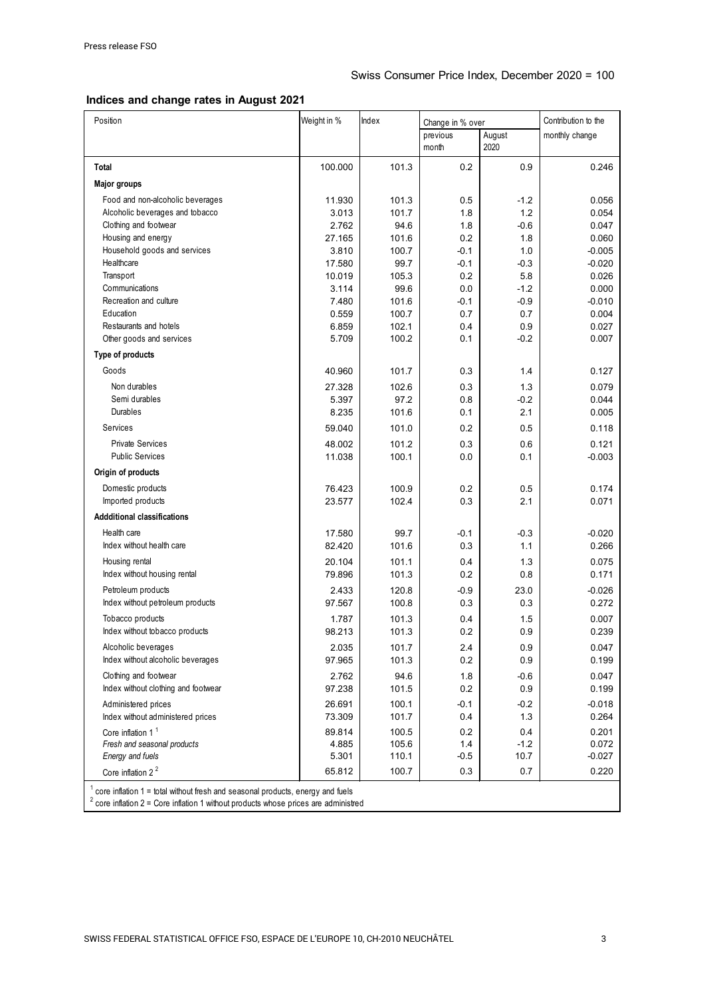#### **Indices and change rates in August 2021**

| Position                                                                              | Weight in %      | Index          | Change in % over |               | Contribution to the |  |  |  |
|---------------------------------------------------------------------------------------|------------------|----------------|------------------|---------------|---------------------|--|--|--|
|                                                                                       |                  |                | previous         | August        | monthly change      |  |  |  |
|                                                                                       |                  |                | month            | 2020          |                     |  |  |  |
| Total                                                                                 | 100.000          | 101.3          | 0.2              | 0.9           | 0.246               |  |  |  |
| <b>Major groups</b>                                                                   |                  |                |                  |               |                     |  |  |  |
| Food and non-alcoholic beverages                                                      | 11.930           | 101.3          | 0.5              | $-1.2$        | 0.056               |  |  |  |
| Alcoholic beverages and tobacco                                                       | 3.013            | 101.7          | 1.8              | 1.2           | 0.054               |  |  |  |
| Clothing and footwear                                                                 | 2.762            | 94.6           | 1.8              | $-0.6$        | 0.047               |  |  |  |
| Housing and energy                                                                    | 27.165           | 101.6          | 0.2              | 1.8           | 0.060               |  |  |  |
| Household goods and services                                                          | 3.810            | 100.7          | $-0.1$           | 1.0           | $-0.005$            |  |  |  |
| Healthcare                                                                            | 17.580           | 99.7           | $-0.1$           | $-0.3$        | $-0.020$            |  |  |  |
| Transport                                                                             | 10.019           | 105.3          | 0.2              | 5.8           | 0.026               |  |  |  |
| Communications                                                                        | 3.114            | 99.6           | 0.0              | $-1.2$        | 0.000               |  |  |  |
| Recreation and culture                                                                | 7.480            | 101.6          | $-0.1$           | $-0.9$        | $-0.010$            |  |  |  |
| Education                                                                             | 0.559            | 100.7          | 0.7              | 0.7           | 0.004               |  |  |  |
| Restaurants and hotels                                                                | 6.859            | 102.1          | 0.4              | 0.9           | 0.027               |  |  |  |
| Other goods and services                                                              | 5.709            | 100.2          | 0.1              | $-0.2$        | 0.007               |  |  |  |
| Type of products                                                                      |                  |                |                  |               |                     |  |  |  |
| Goods                                                                                 | 40.960           | 101.7          | 0.3              | 1.4           | 0.127               |  |  |  |
| Non durables                                                                          | 27.328           | 102.6          | 0.3              | 1.3           | 0.079               |  |  |  |
| Semi durables                                                                         | 5.397            | 97.2           | 0.8              | $-0.2$        | 0.044               |  |  |  |
| Durables                                                                              | 8.235            | 101.6          | 0.1              | 2.1           | 0.005               |  |  |  |
| Services                                                                              | 59.040           | 101.0          | 0.2              | 0.5           | 0.118               |  |  |  |
|                                                                                       |                  |                |                  |               |                     |  |  |  |
| <b>Private Services</b>                                                               | 48.002           | 101.2          | 0.3              | 0.6           | 0.121               |  |  |  |
| <b>Public Services</b>                                                                | 11.038           | 100.1          | 0.0              | 0.1           | $-0.003$            |  |  |  |
| Origin of products                                                                    |                  |                |                  |               |                     |  |  |  |
| Domestic products                                                                     | 76.423           | 100.9          | 0.2              | 0.5           | 0.174               |  |  |  |
| Imported products                                                                     | 23.577           | 102.4          | 0.3              | 2.1           | 0.071               |  |  |  |
| <b>Addditional classifications</b>                                                    |                  |                |                  |               |                     |  |  |  |
| Health care                                                                           | 17.580           | 99.7           | $-0.1$           | $-0.3$        | $-0.020$            |  |  |  |
| Index without health care                                                             | 82.420           | 101.6          | 0.3              | 1.1           | 0.266               |  |  |  |
| Housing rental                                                                        | 20.104           | 101.1          | 0.4              | 1.3           | 0.075               |  |  |  |
| Index without housing rental                                                          | 79.896           | 101.3          | 0.2              | 0.8           | 0.171               |  |  |  |
|                                                                                       |                  |                |                  |               |                     |  |  |  |
| Petroleum products                                                                    | 2.433            | 120.8          | $-0.9$           | 23.0          | $-0.026$            |  |  |  |
| Index without petroleum products                                                      | 97.567           | 100.8          | 0.3              | 0.3           | 0.272               |  |  |  |
| Tobacco products                                                                      | 1.787            | 101.3          | 0.4              | 1.5           | 0.007               |  |  |  |
| Index without tobacco products                                                        | 98.213           | 101.3          | 0.2              | 0.9           | 0.239               |  |  |  |
| Alcoholic beverages                                                                   | 2.035            | 101.7          | 2.4              | 0.9           | 0.047               |  |  |  |
| Index without alcoholic beverages                                                     | 97.965           | 101.3          | 0.2              | 0.9           | 0.199               |  |  |  |
| Clothing and footwear                                                                 | 2.762            | 94.6           | 1.8              | $-0.6$        | 0.047               |  |  |  |
| Index without clothing and footwear                                                   | 97.238           | 101.5          | 0.2              | 0.9           | 0.199               |  |  |  |
|                                                                                       |                  |                |                  |               | $-0.018$            |  |  |  |
| Administered prices<br>Index without administered prices                              | 26.691<br>73.309 | 100.1<br>101.7 | $-0.1$<br>0.4    | $-0.2$<br>1.3 | 0.264               |  |  |  |
|                                                                                       | 89.814           | 100.5          | 0.2              | 0.4           | 0.201               |  |  |  |
| Core inflation 1 <sup>1</sup><br>Fresh and seasonal products                          | 4.885            | 105.6          | 1.4              | $-1.2$        | 0.072               |  |  |  |
| Energy and fuels                                                                      | 5.301            | 110.1          | $-0.5$           | 10.7          | $-0.027$            |  |  |  |
| Core inflation 2 <sup>2</sup>                                                         | 65.812           | 100.7          | 0.3              | 0.7           | 0.220               |  |  |  |
|                                                                                       |                  |                |                  |               |                     |  |  |  |
| $1$ core inflation $1$ = total without fresh and seasonal products, energy and fuels  |                  |                |                  |               |                     |  |  |  |
| $2$ core inflation 2 = Core inflation 1 without products whose prices are administred |                  |                |                  |               |                     |  |  |  |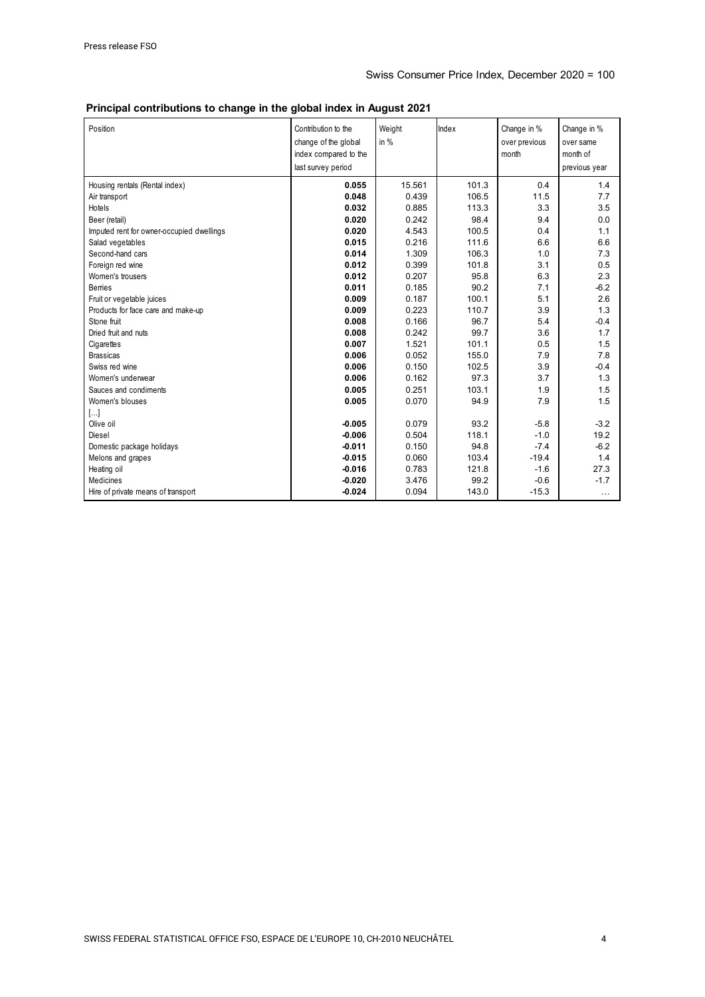| Principal contributions to change in the global index in August 2021 |  |  |  |
|----------------------------------------------------------------------|--|--|--|
|----------------------------------------------------------------------|--|--|--|

| Position                                  | Contribution to the<br>change of the global<br>index compared to the<br>last survey period | Weight<br>in $%$ | Index | Change in %<br>over previous<br>month | Change in %<br>over same<br>month of<br>previous year |
|-------------------------------------------|--------------------------------------------------------------------------------------------|------------------|-------|---------------------------------------|-------------------------------------------------------|
| Housing rentals (Rental index)            | 0.055                                                                                      | 15.561           | 101.3 | 0.4                                   | 1.4                                                   |
| Air transport                             | 0.048                                                                                      | 0.439            | 106.5 | 11.5                                  | 7.7                                                   |
| Hotels                                    | 0.032                                                                                      | 0.885            | 113.3 | 3.3                                   | 3.5                                                   |
| Beer (retail)                             | 0.020                                                                                      | 0.242            | 98.4  | 9.4                                   | 0.0                                                   |
| Imputed rent for owner-occupied dwellings | 0.020                                                                                      | 4.543            | 100.5 | 0.4                                   | 1.1                                                   |
| Salad vegetables                          | 0.015                                                                                      | 0.216            | 111.6 | 6.6                                   | 6.6                                                   |
| Second-hand cars                          | 0.014                                                                                      | 1.309            | 106.3 | 1.0                                   | 7.3                                                   |
| Foreign red wine                          | 0.012                                                                                      | 0.399            | 101.8 | 3.1                                   | 0.5                                                   |
| Women's trousers                          | 0.012                                                                                      | 0.207            | 95.8  | 6.3                                   | 2.3                                                   |
| <b>Berries</b>                            | 0.011                                                                                      | 0.185            | 90.2  | 7.1                                   | $-6.2$                                                |
| Fruit or vegetable juices                 | 0.009                                                                                      | 0.187            | 100.1 | 5.1                                   | 2.6                                                   |
| Products for face care and make-up        | 0.009                                                                                      | 0.223            | 110.7 | 3.9                                   | 1.3                                                   |
| Stone fruit                               | 0.008                                                                                      | 0.166            | 96.7  | 5.4                                   | $-0.4$                                                |
| Dried fruit and nuts                      | 0.008                                                                                      | 0.242            | 99.7  | 3.6                                   | 1.7                                                   |
| Cigarettes                                | 0.007                                                                                      | 1.521            | 101.1 | 0.5                                   | 1.5                                                   |
| <b>Brassicas</b>                          | 0.006                                                                                      | 0.052            | 155.0 | 7.9                                   | 7.8                                                   |
| Swiss red wine                            | 0.006                                                                                      | 0.150            | 102.5 | 3.9                                   | $-0.4$                                                |
| Women's underwear                         | 0.006                                                                                      | 0.162            | 97.3  | 3.7                                   | 1.3                                                   |
| Sauces and condiments                     | 0.005                                                                                      | 0.251            | 103.1 | 1.9                                   | 1.5                                                   |
| Women's blouses                           | 0.005                                                                                      | 0.070            | 94.9  | 7.9                                   | 1.5                                                   |
| $\left[\ldots\right]$                     |                                                                                            |                  |       |                                       |                                                       |
| Olive oil                                 | $-0.005$                                                                                   | 0.079            | 93.2  | $-5.8$                                | $-3.2$                                                |
| Diesel                                    | $-0.006$                                                                                   | 0.504            | 118.1 | $-1.0$                                | 19.2                                                  |
| Domestic package holidays                 | $-0.011$                                                                                   | 0.150            | 94.8  | $-7.4$                                | $-6.2$                                                |
| Melons and grapes                         | $-0.015$                                                                                   | 0.060            | 103.4 | $-19.4$                               | 1.4                                                   |
| Heating oil                               | $-0.016$                                                                                   | 0.783            | 121.8 | $-1.6$                                | 27.3                                                  |
| <b>Medicines</b>                          | $-0.020$                                                                                   | 3.476            | 99.2  | $-0.6$                                | $-1.7$                                                |
| Hire of private means of transport        | $-0.024$                                                                                   | 0.094            | 143.0 | $-15.3$                               | $\cdots$                                              |